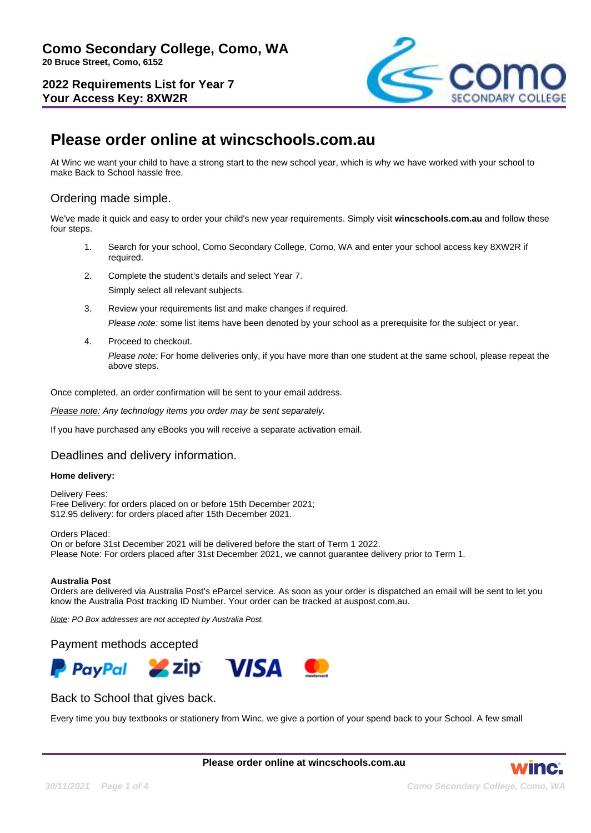**2022 Requirements List for Year 7 Your Access Key: 8XW2R**



# **Please order online at wincschools.com.au**

At Winc we want your child to have a strong start to the new school year, which is why we have worked with your school to make Back to School hassle free.

## Ordering made simple.

We've made it quick and easy to order your child's new year requirements. Simply visit **wincschools.com.au** and follow these four steps.

- 1. Search for your school, Como Secondary College, Como, WA and enter your school access key 8XW2R if required.
- 2. Complete the student's details and select Year 7. Simply select all relevant subjects.
- 3. Review your requirements list and make changes if required. Please note: some list items have been denoted by your school as a prerequisite for the subject or year.
- 4. Proceed to checkout.

Please note: For home deliveries only, if you have more than one student at the same school, please repeat the above steps.

Once completed, an order confirmation will be sent to your email address.

Please note: Any technology items you order may be sent separately.

If you have purchased any eBooks you will receive a separate activation email.

### Deadlines and delivery information.

#### **Home delivery:**

Delivery Fees: Free Delivery: for orders placed on or before 15th December 2021; \$12.95 delivery: for orders placed after 15th December 2021.

Orders Placed: On or before 31st December 2021 will be delivered before the start of Term 1 2022. Please Note: For orders placed after 31st December 2021, we cannot guarantee delivery prior to Term 1.

#### **Australia Post**

Orders are delivered via Australia Post's eParcel service. As soon as your order is dispatched an email will be sent to let you know the Australia Post tracking ID Number. Your order can be tracked at auspost.com.au.

Note: PO Box addresses are not accepted by Australia Post.

### Payment methods accepted



### Back to School that gives back.

Every time you buy textbooks or stationery from Winc, we give a portion of your spend back to your School. A few small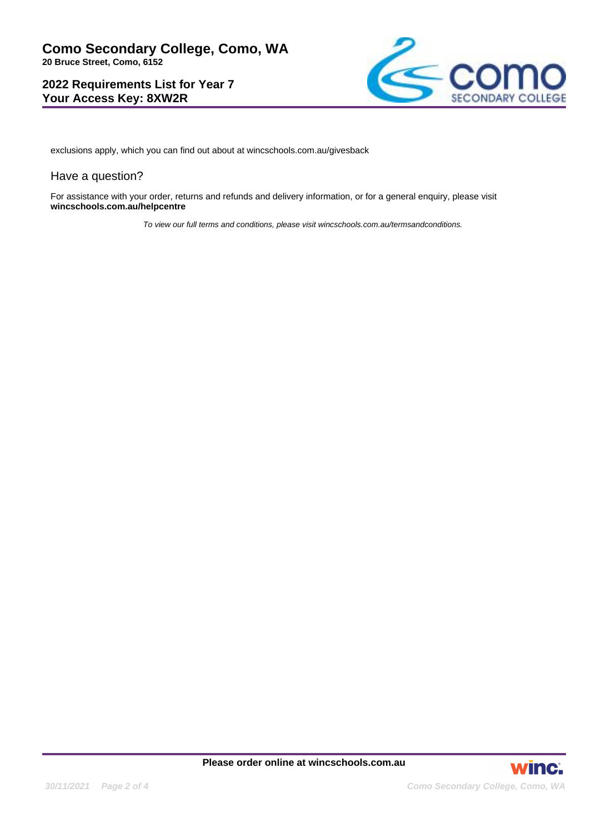**2022 Requirements List for Year 7 Your Access Key: 8XW2R**



exclusions apply, which you can find out about at wincschools.com.au/givesback

### Have a question?

For assistance with your order, returns and refunds and delivery information, or for a general enquiry, please visit **wincschools.com.au/helpcentre**

To view our full terms and conditions, please visit wincschools.com.au/termsandconditions.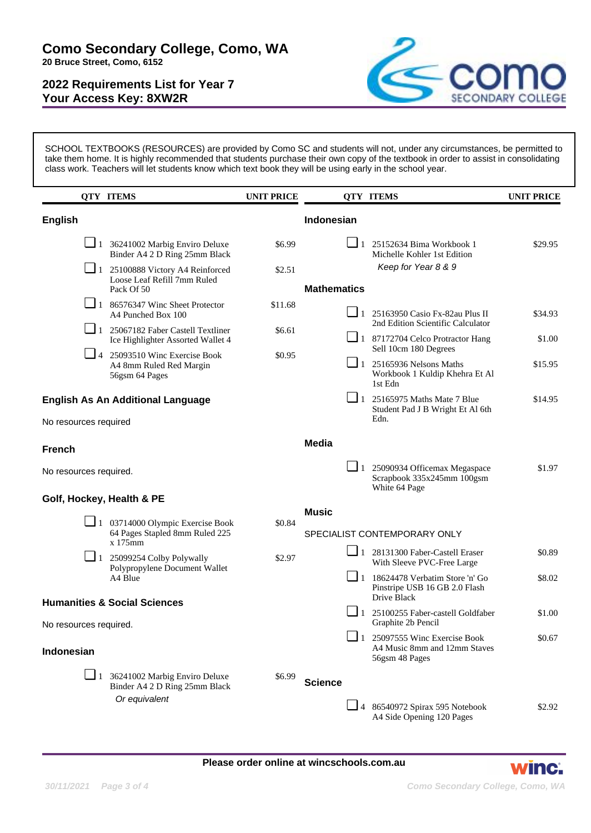**2022 Requirements List for Year 7 Your Access Key: 8XW2R**



SCHOOL TEXTBOOKS (RESOURCES) are provided by Como SC and students will not, under any circumstances, be permitted to take them home. It is highly recommended that students purchase their own copy of the textbook in order to assist in consolidating class work. Teachers will let students know which text book they will be using early in the school year.

|                                                                   | <b>QTY ITEMS</b>                                                                     | <b>UNIT PRICE</b> |                    |          | <b>QTY ITEMS</b>                                                                        | <b>UNIT PRICE</b> |
|-------------------------------------------------------------------|--------------------------------------------------------------------------------------|-------------------|--------------------|----------|-----------------------------------------------------------------------------------------|-------------------|
| <b>English</b>                                                    |                                                                                      |                   | Indonesian         |          |                                                                                         |                   |
|                                                                   | $\Box$ 1 36241002 Marbig Enviro Deluxe<br>Binder A4 2 D Ring 25mm Black              | \$6.99            |                    |          | $\Box$ 1 25152634 Bima Workbook 1<br>Michelle Kohler 1st Edition                        | \$29.95           |
|                                                                   | 1 25100888 Victory A4 Reinforced<br>Loose Leaf Refill 7mm Ruled<br>Pack Of 50        | \$2.51            | <b>Mathematics</b> |          | Keep for Year 8 & 9                                                                     |                   |
|                                                                   | $\boxed{\phantom{0}}$ 1 86576347 Winc Sheet Protector<br>A4 Punched Box 100          | \$11.68           |                    |          | $\Box$ 1 25163950 Casio Fx-82au Plus II<br>2nd Edition Scientific Calculator            | \$34.93           |
|                                                                   | 1 25067182 Faber Castell Textliner<br>Ice Highlighter Assorted Wallet 4              | \$6.61            |                    |          | 1 87172704 Celco Protractor Hang<br>Sell 10cm 180 Degrees                               | \$1.00            |
|                                                                   | $\Box$ 4 25093510 Winc Exercise Book<br>A4 8mm Ruled Red Margin<br>56gsm 64 Pages    | \$0.95            |                    |          | $\Box$ 1 25165936 Nelsons Maths<br>Workbook 1 Kuldip Khehra Et Al<br>1st Edn            | \$15.95           |
| <b>English As An Additional Language</b>                          |                                                                                      |                   |                    |          | $\Box$ 1 25165975 Maths Mate 7 Blue<br>Student Pad J B Wright Et Al 6th                 | \$14.95           |
| No resources required                                             |                                                                                      |                   |                    |          | Edn.                                                                                    |                   |
| <b>French</b>                                                     |                                                                                      |                   | <b>Media</b>       |          |                                                                                         |                   |
| No resources required.                                            |                                                                                      |                   |                    |          | $\Box$ 1 25090934 Officemax Megaspace<br>Scrapbook 335x245mm 100gsm<br>White 64 Page    | \$1.97            |
| Golf, Hockey, Health & PE                                         |                                                                                      |                   |                    |          |                                                                                         |                   |
|                                                                   | $\Box$ 1 03714000 Olympic Exercise Book<br>64 Pages Stapled 8mm Ruled 225<br>x 175mm | \$0.84            | <b>Music</b>       |          | SPECIALIST CONTEMPORARY ONLY                                                            |                   |
|                                                                   | $\Box$ 1 25099254 Colby Polywally<br>Polypropylene Document Wallet<br>A4 Blue        | \$2.97            |                    |          | 1 28131300 Faber-Castell Eraser<br>With Sleeve PVC-Free Large                           | \$0.89            |
|                                                                   |                                                                                      |                   |                    |          | $\Box$ 1 18624478 Verbatim Store 'n' Go<br>Pinstripe USB 16 GB 2.0 Flash<br>Drive Black | \$8.02            |
| <b>Humanities &amp; Social Sciences</b><br>No resources required. |                                                                                      |                   |                    | $\Box$ 1 | 25100255 Faber-castell Goldfaber<br>Graphite 2b Pencil                                  | \$1.00            |
| Indonesian                                                        |                                                                                      |                   |                    |          | $\Box$ 1 25097555 Winc Exercise Book<br>A4 Music 8mm and 12mm Staves<br>56gsm 48 Pages  | \$0.67            |
| $\Box$ 1                                                          | 36241002 Marbig Enviro Deluxe<br>Binder A4 2 D Ring 25mm Black<br>Or equivalent      | \$6.99            | <b>Science</b>     |          |                                                                                         |                   |
|                                                                   |                                                                                      |                   |                    |          | $\Box$ 4 86540972 Spirax 595 Notebook<br>A4 Side Opening 120 Pages                      | \$2.92            |